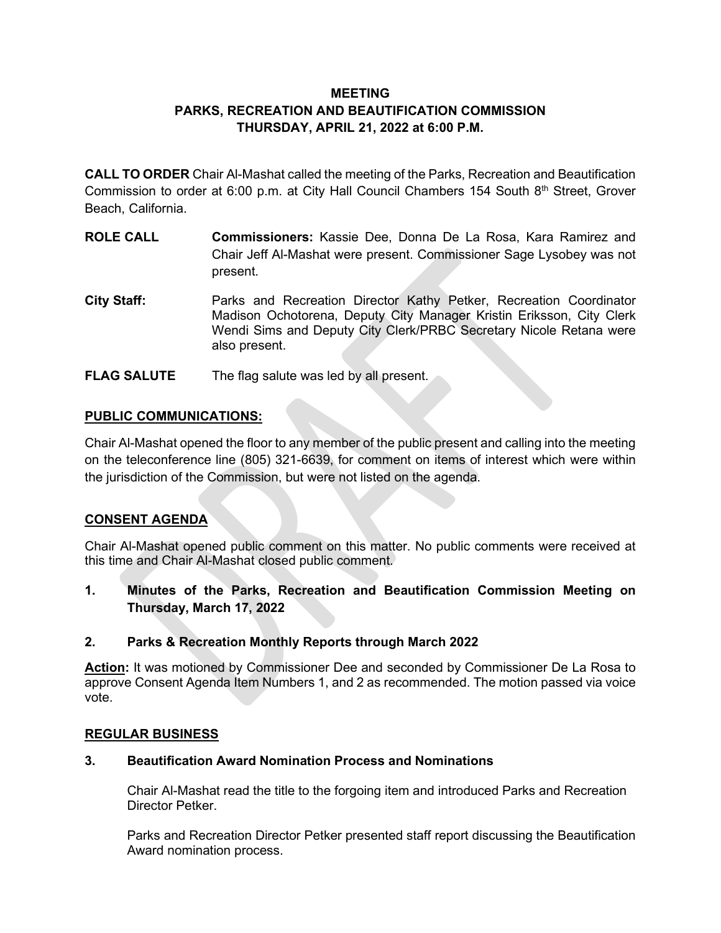### **MEETING PARKS, RECREATION AND BEAUTIFICATION COMMISSION THURSDAY, APRIL 21, 2022 at 6:00 P.M.**

**CALL TO ORDER** Chair Al-Mashat called the meeting of the Parks, Recreation and Beautification Commission to order at 6:00 p.m. at City Hall Council Chambers 154 South 8th Street, Grover Beach, California.

- **ROLE CALL Commissioners:** Kassie Dee, Donna De La Rosa, Kara Ramirez and Chair Jeff Al-Mashat were present. Commissioner Sage Lysobey was not present.
- **City Staff:** Parks and Recreation Director Kathy Petker, Recreation Coordinator Madison Ochotorena, Deputy City Manager Kristin Eriksson, City Clerk Wendi Sims and Deputy City Clerk/PRBC Secretary Nicole Retana were also present.
- **FLAG SALUTE** The flag salute was led by all present.

## **PUBLIC COMMUNICATIONS:**

Chair Al-Mashat opened the floor to any member of the public present and calling into the meeting on the teleconference line (805) 321-6639, for comment on items of interest which were within the jurisdiction of the Commission, but were not listed on the agenda.

### **CONSENT AGENDA**

Chair Al-Mashat opened public comment on this matter. No public comments were received at this time and Chair Al-Mashat closed public comment.

**1. Minutes of the Parks, Recreation and Beautification Commission Meeting on Thursday, March 17, 2022**

### **2. Parks & Recreation Monthly Reports through March 2022**

**Action:** It was motioned by Commissioner Dee and seconded by Commissioner De La Rosa to approve Consent Agenda Item Numbers 1, and 2 as recommended. The motion passed via voice vote.

### **REGULAR BUSINESS**

### **3. Beautification Award Nomination Process and Nominations**

Chair Al-Mashat read the title to the forgoing item and introduced Parks and Recreation Director Petker.

Parks and Recreation Director Petker presented staff report discussing the Beautification Award nomination process.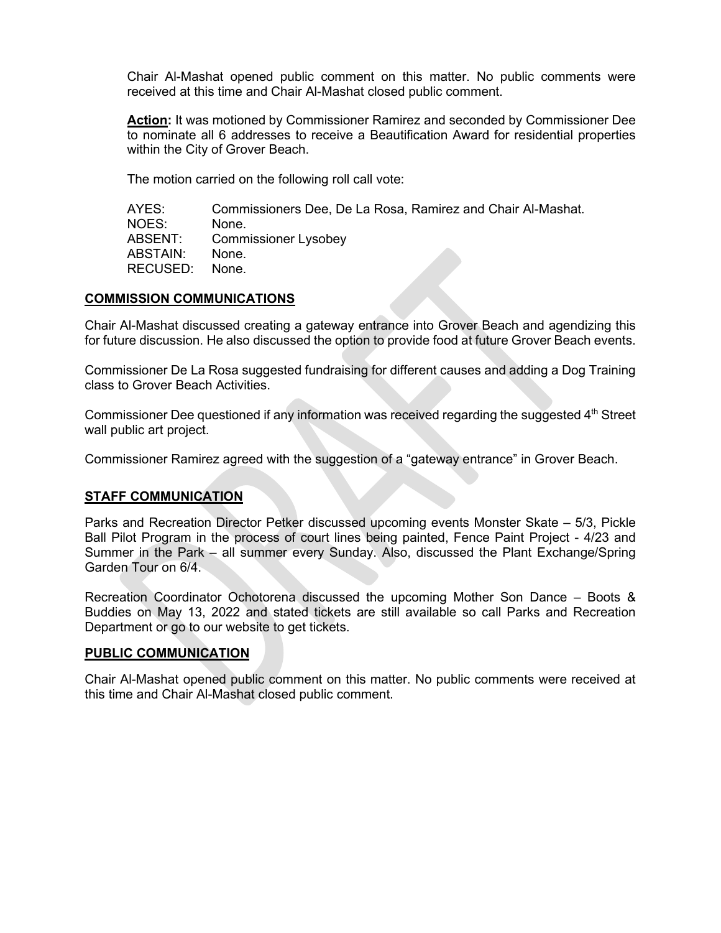Chair Al-Mashat opened public comment on this matter. No public comments were received at this time and Chair Al-Mashat closed public comment.

**Action:** It was motioned by Commissioner Ramirez and seconded by Commissioner Dee to nominate all 6 addresses to receive a Beautification Award for residential properties within the City of Grover Beach.

The motion carried on the following roll call vote:

| AYES:          | Commissioners Dee, De La Rosa, Ramirez and Chair Al-Mashat. |
|----------------|-------------------------------------------------------------|
| NOES:          | None.                                                       |
|                | ABSENT: Commissioner Lysobey                                |
| ABSTAIN:       | None.                                                       |
| RECUSED: None. |                                                             |

#### **COMMISSION COMMUNICATIONS**

Chair Al-Mashat discussed creating a gateway entrance into Grover Beach and agendizing this for future discussion. He also discussed the option to provide food at future Grover Beach events.

Commissioner De La Rosa suggested fundraising for different causes and adding a Dog Training class to Grover Beach Activities.

Commissioner Dee questioned if any information was received regarding the suggested 4<sup>th</sup> Street wall public art project.

Commissioner Ramirez agreed with the suggestion of a "gateway entrance" in Grover Beach.

#### **STAFF COMMUNICATION**

Parks and Recreation Director Petker discussed upcoming events Monster Skate – 5/3, Pickle Ball Pilot Program in the process of court lines being painted, Fence Paint Project - 4/23 and Summer in the Park – all summer every Sunday. Also, discussed the Plant Exchange/Spring Garden Tour on 6/4.

Recreation Coordinator Ochotorena discussed the upcoming Mother Son Dance – Boots & Buddies on May 13, 2022 and stated tickets are still available so call Parks and Recreation Department or go to our website to get tickets.

#### **PUBLIC COMMUNICATION**

Chair Al-Mashat opened public comment on this matter. No public comments were received at this time and Chair Al-Mashat closed public comment.